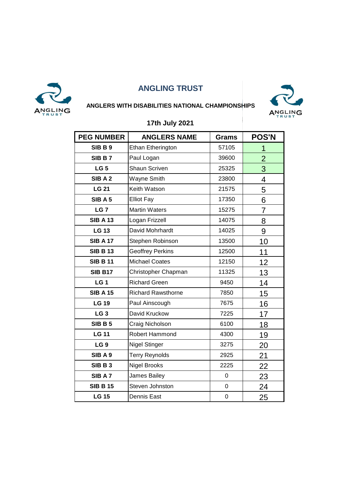



#### **ANGLERS WITH DISABILITIES NATIONAL CHAMPIONSHIPS**

| <b>PEG NUMBER</b> | <b>ANGLERS NAME</b>       | <b>Grams</b> | <b>POS'N</b>   |
|-------------------|---------------------------|--------------|----------------|
| <b>SIB B 9</b>    | Ethan Etherington         | 57105        | 1              |
| SIB B 7           | Paul Logan                | 39600        | $\overline{2}$ |
| LG <sub>5</sub>   | <b>Shaun Scriven</b>      | 25325        | 3              |
| SIB A 2           | Wayne Smith               | 23800        | 4              |
| <b>LG 21</b>      | Keith Watson              | 21575        | 5              |
| SIB A 5           | <b>Elliot Fay</b>         | 17350        | 6              |
| LG <sub>7</sub>   | <b>Martin Waters</b>      | 15275        | $\overline{7}$ |
| <b>SIB A 13</b>   | Logan Frizzell            | 14075        | 8              |
| <b>LG 13</b>      | David Mohrhardt           | 14025        | 9              |
| <b>SIB A 17</b>   | Stephen Robinson          | 13500        | 10             |
| <b>SIB B 13</b>   | <b>Geoffrey Perkins</b>   | 12500        | 11             |
| <b>SIB B 11</b>   | <b>Michael Coates</b>     | 12150        | 12             |
| <b>SIB B17</b>    | Christopher Chapman       | 11325        | 13             |
| LG <sub>1</sub>   | <b>Richard Green</b>      | 9450         | 14             |
| <b>SIB A 15</b>   | <b>Richard Rawsthorne</b> | 7850         | 15             |
| <b>LG 19</b>      | Paul Ainscough            | 7675         | 16             |
| LG <sub>3</sub>   | David Kruckow             | 7225         | 17             |
| <b>SIB B 5</b>    | Craig Nicholson           | 6100         | 18             |
| <b>LG 11</b>      | Robert Hammond            | 4300         | 19             |
| LG <sub>9</sub>   | <b>Nigel Stinger</b>      | 3275         | 20             |
| SIB A 9           | <b>Terry Reynolds</b>     | 2925         | 21             |
| SIBB3             | <b>Nigel Brooks</b>       | 2225         | 22             |
| SIB A 7           | James Bailey              | $\mathbf 0$  | 23             |
| <b>SIB B 15</b>   | Steven Johnston           | $\pmb{0}$    | 24             |
| <b>LG 15</b>      | <b>Dennis East</b>        | $\pmb{0}$    | 25             |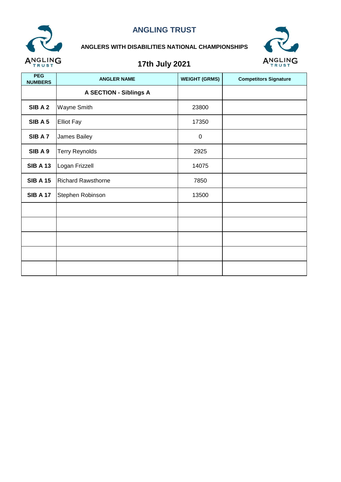

#### **ANGLERS WITH DISABILITIES NATIONAL CHAMPIONSHIPS**



| <b>PEG</b><br><b>NUMBERS</b> | <b>ANGLER NAME</b>            | <b>WEIGHT (GRMS)</b> | <b>Competitors Signature</b> |
|------------------------------|-------------------------------|----------------------|------------------------------|
|                              | <b>A SECTION - Siblings A</b> |                      |                              |
| SIBA2                        | Wayne Smith                   | 23800                |                              |
| SIBA <sub>5</sub>            | <b>Elliot Fay</b>             | 17350                |                              |
| SIB A 7                      | James Bailey                  | $\mathbf 0$          |                              |
| SIBA9                        | <b>Terry Reynolds</b>         | 2925                 |                              |
| <b>SIB A 13</b>              | Logan Frizzell                | 14075                |                              |
| <b>SIB A 15</b>              | <b>Richard Rawsthorne</b>     | 7850                 |                              |
| <b>SIB A 17</b>              | Stephen Robinson              | 13500                |                              |
|                              |                               |                      |                              |
|                              |                               |                      |                              |
|                              |                               |                      |                              |
|                              |                               |                      |                              |
|                              |                               |                      |                              |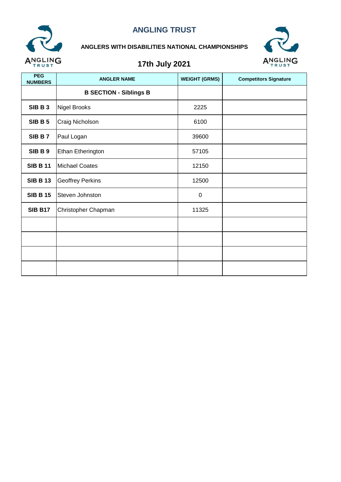

#### **ANGLERS WITH DISABILITIES NATIONAL CHAMPIONSHIPS**



| <b>PEG</b><br><b>NUMBERS</b> | <b>ANGLER NAME</b>            | <b>WEIGHT (GRMS)</b> | <b>Competitors Signature</b> |
|------------------------------|-------------------------------|----------------------|------------------------------|
|                              | <b>B SECTION - Siblings B</b> |                      |                              |
| SIBB3                        | Nigel Brooks                  | 2225                 |                              |
| <b>SIB B 5</b>               | Craig Nicholson               | 6100                 |                              |
| SIBB7                        | Paul Logan                    | 39600                |                              |
| <b>SIB B 9</b>               | Ethan Etherington             | 57105                |                              |
| <b>SIB B 11</b>              | <b>Michael Coates</b>         | 12150                |                              |
| <b>SIB B 13</b>              | <b>Geoffrey Perkins</b>       | 12500                |                              |
| <b>SIB B 15</b>              | Steven Johnston               | $\pmb{0}$            |                              |
| <b>SIB B17</b>               | Christopher Chapman           | 11325                |                              |
|                              |                               |                      |                              |
|                              |                               |                      |                              |
|                              |                               |                      |                              |
|                              |                               |                      |                              |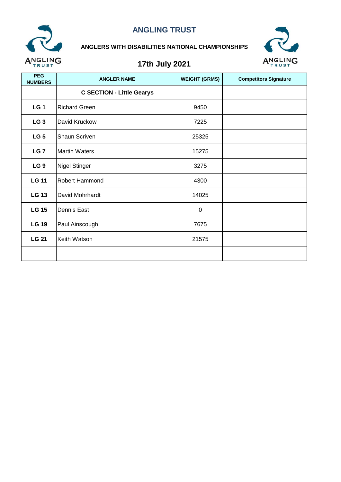

#### **ANGLERS WITH DISABILITIES NATIONAL CHAMPIONSHIPS**



| <b>PEG</b><br><b>NUMBERS</b> | <b>ANGLER NAME</b>               | <b>WEIGHT (GRMS)</b> | <b>Competitors Signature</b> |
|------------------------------|----------------------------------|----------------------|------------------------------|
|                              | <b>C SECTION - Little Gearys</b> |                      |                              |
| LG <sub>1</sub>              | <b>Richard Green</b>             | 9450                 |                              |
| LG <sub>3</sub>              | David Kruckow                    | 7225                 |                              |
| LG <sub>5</sub>              | Shaun Scriven                    | 25325                |                              |
| LG <sub>7</sub>              | <b>Martin Waters</b>             | 15275                |                              |
| LG <sub>9</sub>              | <b>Nigel Stinger</b>             | 3275                 |                              |
| <b>LG 11</b>                 | Robert Hammond                   | 4300                 |                              |
| <b>LG 13</b>                 | David Mohrhardt                  | 14025                |                              |
| <b>LG 15</b>                 | Dennis East                      | 0                    |                              |
| <b>LG 19</b>                 | Paul Ainscough                   | 7675                 |                              |
| <b>LG 21</b>                 | Keith Watson                     | 21575                |                              |
|                              |                                  |                      |                              |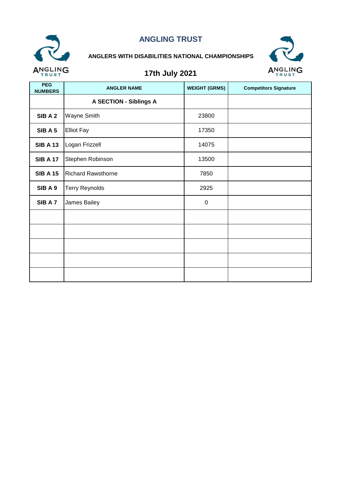

### **ANGLERS WITH DISABILITIES NATIONAL CHAMPIONSHIPS**



| <b>PEG</b><br><b>NUMBERS</b> | <b>ANGLER NAME</b>            | <b>WEIGHT (GRMS)</b> | <b>Competitors Signature</b> |
|------------------------------|-------------------------------|----------------------|------------------------------|
|                              | <b>A SECTION - Siblings A</b> |                      |                              |
| SIBA2                        | Wayne Smith                   | 23800                |                              |
| SIBA5                        | <b>Elliot Fay</b>             | 17350                |                              |
| <b>SIB A 13</b>              | Logan Frizzell                | 14075                |                              |
| <b>SIB A 17</b>              | Stephen Robinson              | 13500                |                              |
| <b>SIB A 15</b>              | <b>Richard Rawsthorne</b>     | 7850                 |                              |
| SIBA9                        | <b>Terry Reynolds</b>         | 2925                 |                              |
| SIB A 7                      | James Bailey                  | $\mathbf 0$          |                              |
|                              |                               |                      |                              |
|                              |                               |                      |                              |
|                              |                               |                      |                              |
|                              |                               |                      |                              |
|                              |                               |                      |                              |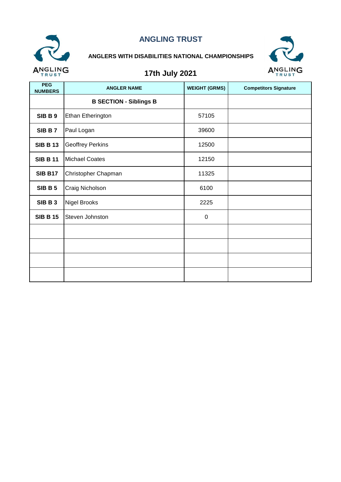

### **ANGLERS WITH DISABILITIES NATIONAL CHAMPIONSHIPS**



| <b>PEG</b><br><b>NUMBERS</b> | <b>ANGLER NAME</b>            | <b>WEIGHT (GRMS)</b> | <b>Competitors Signature</b> |
|------------------------------|-------------------------------|----------------------|------------------------------|
|                              | <b>B SECTION - Siblings B</b> |                      |                              |
| SIBB9                        | Ethan Etherington             | 57105                |                              |
| SIB B 7                      | Paul Logan                    | 39600                |                              |
| <b>SIB B 13</b>              | <b>Geoffrey Perkins</b>       | 12500                |                              |
| <b>SIB B 11</b>              | <b>Michael Coates</b>         | 12150                |                              |
| <b>SIB B17</b>               | Christopher Chapman           | 11325                |                              |
| <b>SIB B 5</b>               | Craig Nicholson               | 6100                 |                              |
| SIBB3                        | <b>Nigel Brooks</b>           | 2225                 |                              |
| <b>SIB B 15</b>              | Steven Johnston               | $\mathbf 0$          |                              |
|                              |                               |                      |                              |
|                              |                               |                      |                              |
|                              |                               |                      |                              |
|                              |                               |                      |                              |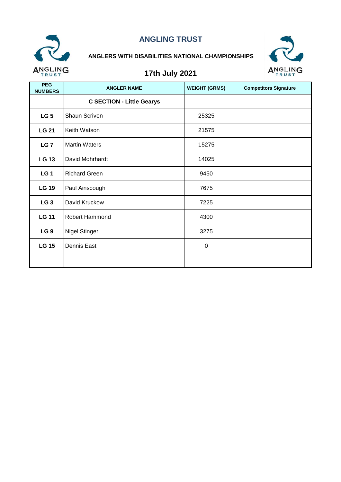

### **ANGLERS WITH DISABILITIES NATIONAL CHAMPIONSHIPS**



| <b>PEG</b><br><b>NUMBERS</b> | <b>ANGLER NAME</b>               | <b>WEIGHT (GRMS)</b> | <b>Competitors Signature</b> |
|------------------------------|----------------------------------|----------------------|------------------------------|
|                              | <b>C SECTION - Little Gearys</b> |                      |                              |
| LG <sub>5</sub>              | <b>Shaun Scriven</b>             | 25325                |                              |
| <b>LG 21</b>                 | Keith Watson                     | 21575                |                              |
| LG <sub>7</sub>              | <b>Martin Waters</b>             | 15275                |                              |
| <b>LG 13</b>                 | David Mohrhardt                  | 14025                |                              |
| LG <sub>1</sub>              | <b>Richard Green</b>             | 9450                 |                              |
| <b>LG 19</b>                 | Paul Ainscough                   | 7675                 |                              |
| LG <sub>3</sub>              | David Kruckow                    | 7225                 |                              |
| <b>LG 11</b>                 | Robert Hammond                   | 4300                 |                              |
| LG <sub>9</sub>              | <b>Nigel Stinger</b>             | 3275                 |                              |
| <b>LG 15</b>                 | Dennis East                      | $\mathbf 0$          |                              |
|                              |                                  |                      |                              |